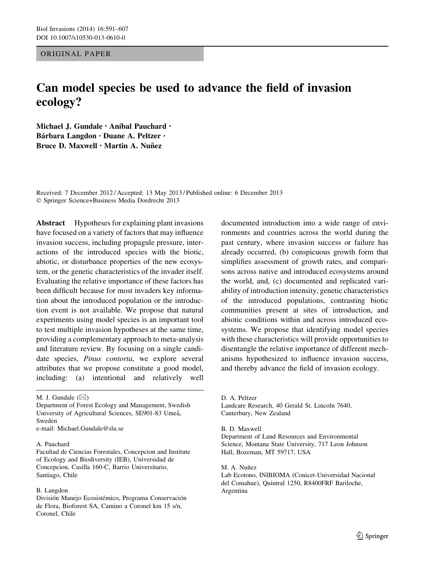ORIGINAL PAPER

# Can model species be used to advance the field of invasion ecology?

Michael J. Gundale · Aníbal Pauchard · Bárbara Langdon · Duane A. Peltzer · Bruce D. Maxwell • Martin A. Nuñez

Received: 7 December 2012 / Accepted: 13 May 2013 / Published online: 6 December 2013 - Springer Science+Business Media Dordrecht 2013

Abstract Hypotheses for explaining plant invasions have focused on a variety of factors that may influence invasion success, including propagule pressure, interactions of the introduced species with the biotic, abiotic, or disturbance properties of the new ecosystem, or the genetic characteristics of the invader itself. Evaluating the relative importance of these factors has been difficult because for most invaders key information about the introduced population or the introduction event is not available. We propose that natural experiments using model species is an important tool to test multiple invasion hypotheses at the same time, providing a complementary approach to meta-analysis and literature review. By focusing on a single candidate species, *Pinus contorta*, we explore several attributes that we propose constitute a good model, including: (a) intentional and relatively well

M. J. Gundale  $(\boxtimes)$ 

Department of Forest Ecology and Management, Swedish University of Agricultural Sciences, SE901-83 Umeå, Sweden e-mail: Michael.Gundale@slu.se

#### A. Pauchard

Facultad de Ciencias Forestales, Concepcion and Institute of Ecology and Biodiversity (IEB), Universidad de Concepcion, Casilla 160-C, Barrio Universitario, Santiago, Chile

#### B. Langdon

División Manejo Ecosistémico, Programa Conservación de Flora, Bioforest SA, Camino a Coronel km 15 s/n, Coronel, Chile

documented introduction into a wide range of environments and countries across the world during the past century, where invasion success or failure has already occurred, (b) conspicuous growth form that simplifies assessment of growth rates, and comparisons across native and introduced ecosystems around the world, and, (c) documented and replicated variability of introduction intensity, genetic characteristics of the introduced populations, contrasting biotic communities present at sites of introduction, and abiotic conditions within and across introduced ecosystems. We propose that identifying model species with these characteristics will provide opportunities to disentangle the relative importance of different mechanisms hypothesized to influence invasion success, and thereby advance the field of invasion ecology.

D. A. Peltzer

Landcare Research, 40 Gerald St. Lincoln 7640, Canterbury, New Zealand

B. D. Maxwell

Department of Land Resources and Environmental Science, Montana State University, 717 Leon Johnson Hall, Bozeman, MT 59717, USA

M. A. Nuñez

Lab Ecotono, INIBIOMA (Conicet-Universidad Nacional del Comahue), Quintral 1250, R8400FRF Bariloche, Argentina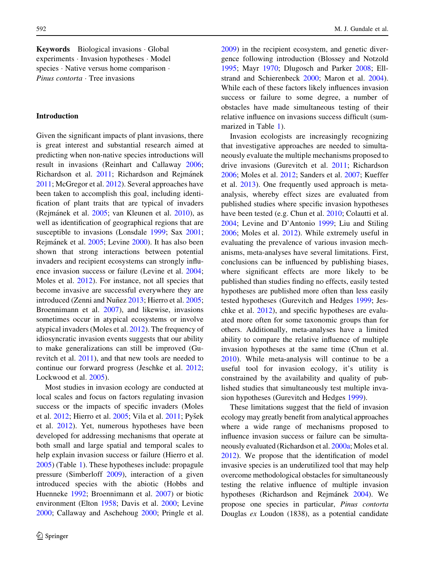Keywords Biological invasions Global experiments - Invasion hypotheses - Model species · Native versus home comparison · Pinus contorta · Tree invasions

# Introduction

Given the significant impacts of plant invasions, there is great interest and substantial research aimed at predicting when non-native species introductions will result in invasions (Reinhart and Callaway [2006](#page-15-0); Richardson et al. [2011](#page-15-0); Richardson and Rejmánek [2011;](#page-15-0) McGregor et al. [2012](#page-14-0)). Several approaches have been taken to accomplish this goal, including identification of plant traits that are typical of invaders (Rejmánek et al. [2005;](#page-15-0) van Kleunen et al. [2010\)](#page-15-0), as well as identification of geographical regions that are susceptible to invasions (Lonsdale [1999](#page-14-0); Sax [2001](#page-15-0); Rejma´nek et al. [2005](#page-15-0); Levine [2000\)](#page-14-0). It has also been shown that strong interactions between potential invaders and recipient ecosystems can strongly influence invasion success or failure (Levine et al. [2004](#page-14-0); Moles et al. [2012](#page-14-0)). For instance, not all species that become invasive are successful everywhere they are introduced (Zenni and Nuñez [2013](#page-16-0); Hierro et al. [2005](#page-13-0); Broennimann et al. [2007](#page-12-0)), and likewise, invasions sometimes occur in atypical ecosystems or involve atypical invaders (Moles et al. [2012\)](#page-14-0). The frequency of idiosyncratic invasion events suggests that our ability to make generalizations can still be improved (Gurevitch et al. [2011\)](#page-13-0), and that new tools are needed to continue our forward progress (Jeschke et al. [2012](#page-13-0); Lockwood et al. [2005\)](#page-14-0).

Most studies in invasion ecology are conducted at local scales and focus on factors regulating invasion success or the impacts of specific invaders (Moles et al. [2012](#page-14-0); Hierro et al. [2005](#page-13-0); Vila et al. [2011;](#page-15-0) Pyšek et al. [2012](#page-15-0)). Yet, numerous hypotheses have been developed for addressing mechanisms that operate at both small and large spatial and temporal scales to help explain invasion success or failure (Hierro et al. [2005\)](#page-13-0) (Table [1\)](#page-2-0). These hypotheses include: propagule pressure (Simberloff [2009](#page-15-0)), interaction of a given introduced species with the abiotic (Hobbs and Huenneke [1992](#page-13-0); Broennimann et al. [2007](#page-12-0)) or biotic environment (Elton [1958;](#page-13-0) Davis et al. [2000;](#page-13-0) Levine [2000;](#page-14-0) Callaway and Aschehoug [2000;](#page-12-0) Pringle et al.

[2009\)](#page-14-0) in the recipient ecosystem, and genetic divergence following introduction (Blossey and Notzold [1995;](#page-12-0) Mayr [1970](#page-14-0); Dlugosch and Parker [2008;](#page-13-0) Ellstrand and Schierenbeck [2000;](#page-13-0) Maron et al. [2004](#page-14-0)). While each of these factors likely influences invasion success or failure to some degree, a number of obstacles have made simultaneous testing of their relative influence on invasions success difficult (summarized in Table [1\)](#page-2-0).

Invasion ecologists are increasingly recognizing that investigative approaches are needed to simultaneously evaluate the multiple mechanisms proposed to drive invasions (Gurevitch et al. [2011](#page-13-0); Richardson [2006;](#page-15-0) Moles et al. [2012;](#page-14-0) Sanders et al. [2007;](#page-15-0) Kueffer et al. [2013](#page-14-0)). One frequently used approach is metaanalysis, whereby effect sizes are evaluated from published studies where specific invasion hypotheses have been tested (e.g. Chun et al. [2010](#page-13-0); Colautti et al. [2004;](#page-13-0) Levine and D'Antonio [1999;](#page-14-0) Liu and Stiling [2006;](#page-14-0) Moles et al. [2012\)](#page-14-0). While extremely useful in evaluating the prevalence of various invasion mechanisms, meta-analyses have several limitations. First, conclusions can be influenced by publishing biases, where significant effects are more likely to be published than studies finding no effects, easily tested hypotheses are published more often than less easily tested hypotheses (Gurevitch and Hedges [1999](#page-13-0); Jeschke et al. [2012\)](#page-13-0), and specific hypotheses are evaluated more often for some taxonomic groups than for others. Additionally, meta-analyses have a limited ability to compare the relative influence of multiple invasion hypotheses at the same time (Chun et al. [2010\)](#page-13-0). While meta-analysis will continue to be a useful tool for invasion ecology, it's utility is constrained by the availability and quality of published studies that simultaneously test multiple invasion hypotheses (Gurevitch and Hedges [1999\)](#page-13-0).

These limitations suggest that the field of invasion ecology may greatly benefit from analytical approaches where a wide range of mechanisms proposed to influence invasion success or failure can be simultaneously evaluated (Richardson et al. [2000a;](#page-15-0) Moles et al. [2012\)](#page-14-0). We propose that the identification of model invasive species is an underutilized tool that may help overcome methodological obstacles for simultaneously testing the relative influence of multiple invasion hypotheses (Richardson and Rejmánek [2004\)](#page-15-0). We propose one species in particular, Pinus contorta Douglas ex Loudon (1838), as a potential candidate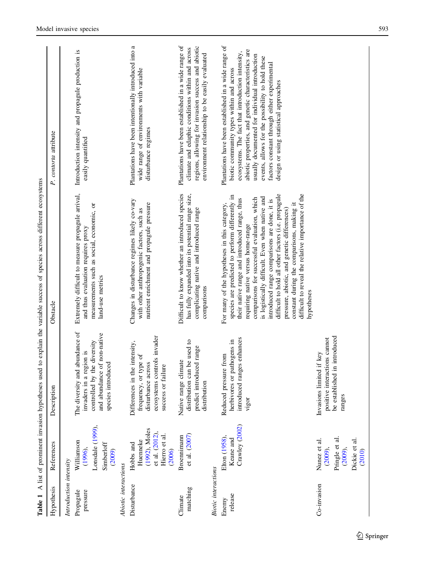<span id="page-2-0"></span>

| Lawic 1                    |                                                                                        |                                                                                                                                               | ermore that the control of the control of the control of the control of the control of the control of the control of the control of the control of the control of the control of the control of the control of the control of                                                                                                                                                                                                                                                                                                                                     |                                                                                                                                                                                                                                                                                                                                                                                                              |
|----------------------------|----------------------------------------------------------------------------------------|-----------------------------------------------------------------------------------------------------------------------------------------------|-------------------------------------------------------------------------------------------------------------------------------------------------------------------------------------------------------------------------------------------------------------------------------------------------------------------------------------------------------------------------------------------------------------------------------------------------------------------------------------------------------------------------------------------------------------------|--------------------------------------------------------------------------------------------------------------------------------------------------------------------------------------------------------------------------------------------------------------------------------------------------------------------------------------------------------------------------------------------------------------|
| Hypothesis                 | References                                                                             | Description                                                                                                                                   | Obstacle                                                                                                                                                                                                                                                                                                                                                                                                                                                                                                                                                          | P. contorta attribute                                                                                                                                                                                                                                                                                                                                                                                        |
| Introduction intensity     |                                                                                        |                                                                                                                                               |                                                                                                                                                                                                                                                                                                                                                                                                                                                                                                                                                                   |                                                                                                                                                                                                                                                                                                                                                                                                              |
| Propagule<br>pressure      | Lonsdale (1999),<br>Williamson<br>Simberloff<br>(1996),<br>(2009)                      | The diversity and abundance of<br>and abundance of non-native<br>controlled by the diversity<br>invaders in a region is<br>species introduced | Extremely difficult to measure propagule arrival,<br>measurements such as social, economic, or<br>and thus evaluation requires proxy<br>land-use metrics                                                                                                                                                                                                                                                                                                                                                                                                          | Introduction intensity and propagule production is<br>easily quantified                                                                                                                                                                                                                                                                                                                                      |
| Abiotic interactions       |                                                                                        |                                                                                                                                               |                                                                                                                                                                                                                                                                                                                                                                                                                                                                                                                                                                   |                                                                                                                                                                                                                                                                                                                                                                                                              |
| Disturbance                | (1992), Moles<br>et al. $(2012)$ ,<br>Hierro et al.<br>Huenneke<br>Hobbs and<br>(2006) | ecosystems controls invader<br>Differences in the intensity,<br>frequency, or type of<br>disturbance across<br>success or failure             | Changes in disturbance regimes likely co-vary<br>nutrient enrichment and propagule pressure<br>with other anthropogenic factors, such as                                                                                                                                                                                                                                                                                                                                                                                                                          | Plantations have been intentionally introduced into a<br>wide range of environments with variable<br>disturbance regimes                                                                                                                                                                                                                                                                                     |
| matching<br>Climate        | et al. (2007)<br>Broennimann                                                           | distribution can be used to<br>predict introduced range<br>Native range climate<br>distribution                                               | Difficult to know whether an introduced species<br>has fully expanded into its potential range size,<br>complicating native and introduced range<br>comparisons                                                                                                                                                                                                                                                                                                                                                                                                   | Plantations have been established in a wide range of<br>regions, allowing for invasion success and abiotic<br>climate and edaphic conditions within and across<br>environment relationship to be easily evaluated                                                                                                                                                                                            |
| <b>Biotic</b> interactions |                                                                                        |                                                                                                                                               |                                                                                                                                                                                                                                                                                                                                                                                                                                                                                                                                                                   |                                                                                                                                                                                                                                                                                                                                                                                                              |
| release<br>Enemy           | Crawley (2002)<br>Elton (1958),<br>Keane and                                           | introduced ranges enhances<br>herbivores or pathogens in<br>pressure from<br>Reduced<br>vigor                                                 | difficult to hold all other factors (i.e. propagule<br>difficult to reveal the relative importance of the<br>species are predicted to perform differently in<br>is logistically difficult. Even when native and<br>comparisons for successful evaluation, which<br>their native range and introduced range, thus<br>introduced range comparisons are done, it is<br>constant during the comparisons, making it<br>For many of the hypotheses in this category,<br>pressure, abiotic, and genetic differences)<br>requiring native versus home-range<br>hypotheses | Plantations have been established in a wide range of<br>abiotic properties, and genetic characteristics are<br>ecosystems. The fact that introduction intensity,<br>usually documented for individual introduction<br>events, allows for the possibility to hold these<br>factors constant through either experimental<br>biotic community types within and across<br>design or using statistical approaches |
| Co-invasion                | Pringle et al.<br>Dickie et al.<br>Nunez et al.<br>$(2009)$ ,<br>$(2009)$ ,<br>(2010)  | be established in introduced<br>interactions cannot<br>limited if key<br>Invasions<br>positive<br>ranges                                      |                                                                                                                                                                                                                                                                                                                                                                                                                                                                                                                                                                   |                                                                                                                                                                                                                                                                                                                                                                                                              |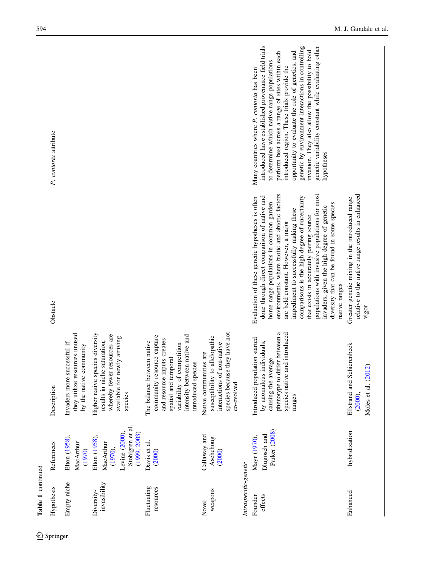| Table 1 continued          |                                                                                             |                                                                                                                                                                                                     |                                                                                                                                                                                                                                                                                                                                                                                                                                                                                                                                             |                                                                                                                                                                                                                                                                                                                                                                                                                                                                                         | 594                  |
|----------------------------|---------------------------------------------------------------------------------------------|-----------------------------------------------------------------------------------------------------------------------------------------------------------------------------------------------------|---------------------------------------------------------------------------------------------------------------------------------------------------------------------------------------------------------------------------------------------------------------------------------------------------------------------------------------------------------------------------------------------------------------------------------------------------------------------------------------------------------------------------------------------|-----------------------------------------------------------------------------------------------------------------------------------------------------------------------------------------------------------------------------------------------------------------------------------------------------------------------------------------------------------------------------------------------------------------------------------------------------------------------------------------|----------------------|
| Hypothesis                 | References                                                                                  | Description                                                                                                                                                                                         | Obstacle                                                                                                                                                                                                                                                                                                                                                                                                                                                                                                                                    | P. contorta attribute                                                                                                                                                                                                                                                                                                                                                                                                                                                                   |                      |
| Empty niche                | Elton (1958),<br>MacArthur<br>(1970)                                                        | they utilize resources unused<br>Invaders more successful if<br>by the native community                                                                                                             |                                                                                                                                                                                                                                                                                                                                                                                                                                                                                                                                             |                                                                                                                                                                                                                                                                                                                                                                                                                                                                                         |                      |
| invasibility<br>Diversity- | Stohlgren et al.<br>(1999, 2003)<br>Levine (2000),<br>Elton (1958),<br>MacArthur<br>(1970), | Higher native species diversity<br>whereby fewer resources are<br>available for newly arriving<br>results in niche saturation,<br>species                                                           |                                                                                                                                                                                                                                                                                                                                                                                                                                                                                                                                             |                                                                                                                                                                                                                                                                                                                                                                                                                                                                                         |                      |
| Fluctuating<br>resources   | Davis et al.<br>(2000)                                                                      | intensity between native and<br>community resource capture<br>and resource inputs creates<br>The balance between native<br>variability of competition<br>spatial and temporal<br>introduced species |                                                                                                                                                                                                                                                                                                                                                                                                                                                                                                                                             |                                                                                                                                                                                                                                                                                                                                                                                                                                                                                         |                      |
| weapons<br>Novel           | Callaway and<br>Aschehoug<br>(2000)                                                         | species because they have not<br>susceptibility to allelopathic<br>interactions of non-native<br>Native communities are<br>co-evolved                                                               |                                                                                                                                                                                                                                                                                                                                                                                                                                                                                                                                             |                                                                                                                                                                                                                                                                                                                                                                                                                                                                                         |                      |
| Intraspecific-genetic      |                                                                                             |                                                                                                                                                                                                     |                                                                                                                                                                                                                                                                                                                                                                                                                                                                                                                                             |                                                                                                                                                                                                                                                                                                                                                                                                                                                                                         |                      |
| effects<br>Founder         | Parker (2008)<br>Dlugosch and<br>Mayr (1970),                                               | phenotype to differ between a<br>species native and introduced<br>Introduced population started<br>by anomalous individuals,<br>causing the average<br>ranges                                       | environments, where biotic and abiotic factors<br>populations with invasive populations for most<br>comparisons is the high degree of uncertainty<br>done through direct comparison of native and<br>Evaluation of these genetic hypotheses is often<br>home range populations in common garden<br>diversity that can be found in some species<br>invaders, given the high degree of genetic<br>impediment to successfully making these<br>that exists in accurately pairing source<br>are held constant. However, a major<br>native ranges | introduced have established provenance field trials<br>genetic by environment interactions in controlling<br>genetic variability constant while evaluating other<br>invasion. They also allow the possibility to hold<br>opportunity to evaluate the role of genetics, and<br>perform best across a range of sites within each<br>to determine which native range populations<br>introduced region. These trials provide the<br>Many countries where P. contorta has been<br>hypotheses |                      |
| Enhanced                   | hybridization                                                                               | Ellstrand and Schierenbeck<br>Moles et al. (2012)<br>$(2000)$ ,                                                                                                                                     | relative to the native range results in enhanced<br>Greater genetic mixing in the introduced range<br>vigor                                                                                                                                                                                                                                                                                                                                                                                                                                 |                                                                                                                                                                                                                                                                                                                                                                                                                                                                                         | M. J. Gundale et al. |

 $\underline{\textcircled{\tiny 2}}$  Springer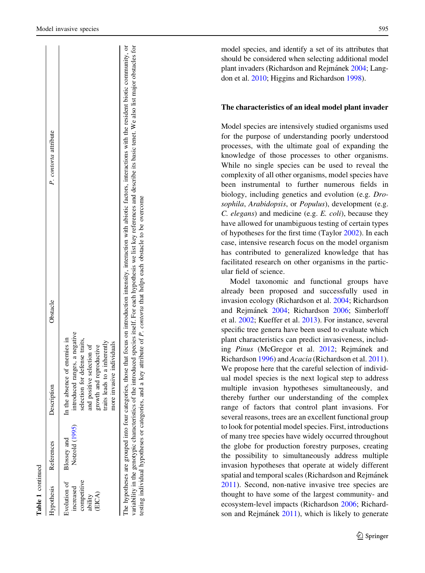Evolution of increased competitive

ncreased

Evolution of Hypothesis

competitive

Blossey and Notzold ([1995](#page-12-0))

Blossey and References

Notzold (1995)

In the absence of enemies in introduced ranges, a negative selection for defense traits,

introduced ranges, a negative In the absence of enemies in

selection for defense traits,

Hypothesis References Description Description Obstacle Obstacle P. contorta attribute

**Description** 

Obstacle

contorta attribute

 $\mathbf{r}$ 

|  | and positive selection of<br>ability | and reproductive<br>growth<br>(EICA) | traits leads to a inherently | nore invasive individuals | The hypotheses are grouped into four categories, those that focus on introduction intensity, interaction with abiotic factors, interactions with the resident biotic community, or | variability in the genotypic characteristics of the introduced species itself. For each hypothesis we list key references and describe its basic tenet. We also list major obstacles for | testing individual hypotheses or categories, and a key attribute of P. contorta that helps each obstacle to be overcome |
|--|--------------------------------------|--------------------------------------|------------------------------|---------------------------|------------------------------------------------------------------------------------------------------------------------------------------------------------------------------------|------------------------------------------------------------------------------------------------------------------------------------------------------------------------------------------|-------------------------------------------------------------------------------------------------------------------------|
|--|--------------------------------------|--------------------------------------|------------------------------|---------------------------|------------------------------------------------------------------------------------------------------------------------------------------------------------------------------------|------------------------------------------------------------------------------------------------------------------------------------------------------------------------------------------|-------------------------------------------------------------------------------------------------------------------------|

model species, and identify a set of its attributes that should be considered when selecting additional model plant invaders (Richardson and Rejmánek [2004;](#page-15-0) Langdon et al. [2010](#page-14-0); Higgins and Richardson [1998\)](#page-13-0).

## The characteristics of an ideal model plant invader

Model species are intensively studied organisms used for the purpose of understanding poorly understood processes, with the ultimate goal of expanding the knowledge of those processes to other organisms. While no single species can be used to reveal the complexity of all other organisms, model species have been instrumental to further numerous fields in biology, including genetics and evolution (e.g. Drosophila, Arabidopsis, or Populus), development (e.g. C. elegans) and medicine (e.g. E. coli), because they have allowed for unambiguous testing of certain types of hypotheses for the first time (Taylor [2002\)](#page-15-0). In each case, intensive research focus on the model organism has contributed to generalized knowledge that has facilitated research on other organisms in the particular field of science.

Model taxonomic and functional groups have already been proposed and successfully used in invasion ecology (Richardson et al. [2004](#page-15-0); Richardson and Rejmánek [2004](#page-15-0); Richardson [2006;](#page-15-0) Simberloff et al. [2002](#page-15-0); Kueffer et al. [2013\)](#page-14-0). For instance, several specific tree genera have been used to evaluate which plant characteristics can predict invasiveness, includ-ing Pinus (McGregor et al. [2012;](#page-14-0) Rejmánek and Richardson [1996](#page-15-0)) and Acacia (Richardson et al. [2011](#page-15-0)). We propose here that the careful selection of individual model species is the next logical step to address multiple invasion hypotheses simultaneously, and thereby further our understanding of the complex range of factors that control plant invasions. For several reasons, trees are an excellent functional group to look for potential model species. First, introductions of many tree species have widely occurred throughout the globe for production forestry purposes, creating the possibility to simultaneously address multiple invasion hypotheses that operate at widely different spatial and temporal scales (Richardson and Rejmánek [2011\)](#page-15-0). Second, non-native invasive tree species are thought to have some of the largest community- and ecosystem-level impacts (Richardson [2006](#page-15-0); Richard-son and Rejmánek [2011](#page-15-0)), which is likely to generate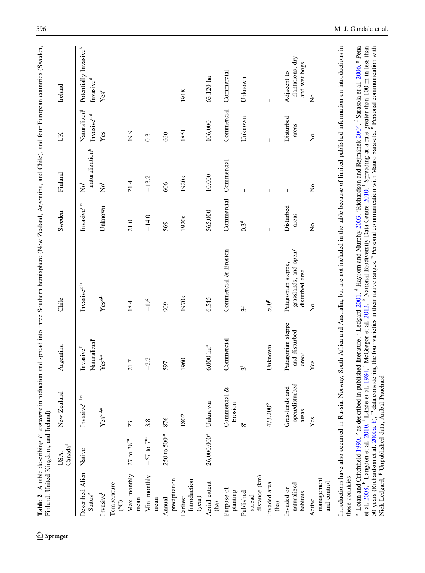<span id="page-5-0"></span>

|                                                                                                                                               | Canada <sup>a</sup><br>USA, | New Zealand                                       | Argentina                                   | Chile                                                                                                                                                                                                                                                                                                                                                                                                                                                                                                                                                    | Sweden                  | Finland                                         | UК                                                  | Ireland                                                    |
|-----------------------------------------------------------------------------------------------------------------------------------------------|-----------------------------|---------------------------------------------------|---------------------------------------------|----------------------------------------------------------------------------------------------------------------------------------------------------------------------------------------------------------------------------------------------------------------------------------------------------------------------------------------------------------------------------------------------------------------------------------------------------------------------------------------------------------------------------------------------------------|-------------------------|-------------------------------------------------|-----------------------------------------------------|------------------------------------------------------------|
| Described Alien<br>$\mathbf{Status}^\mathrm{b}$                                                                                               | Native                      | Invasive <sup>c,d,e</sup>                         | Naturalized <sup>d</sup><br>Invasive $f$    | Invasive $ggh$                                                                                                                                                                                                                                                                                                                                                                                                                                                                                                                                           | Invasive <sup>d,e</sup> | naturalization <sup>g</sup><br>$\overline{N}^i$ | Naturalized <sup>j</sup><br>Invasive <sup>c,d</sup> | Potentially Invasive <sup>k</sup><br>Invasive <sup>d</sup> |
| Invasive <sup>1</sup>                                                                                                                         |                             | $\mathbf{Yes}^{\text{c},\text{d,e}}$              | Yes <sup>f,n</sup>                          | $\mathbf{Yes}^\text{g,h}$                                                                                                                                                                                                                                                                                                                                                                                                                                                                                                                                | Unknown                 | $\rm \bar{N}^i$                                 | Yes                                                 | Yese                                                       |
| Temperature<br>င္                                                                                                                             |                             |                                                   |                                             |                                                                                                                                                                                                                                                                                                                                                                                                                                                                                                                                                          |                         |                                                 |                                                     |                                                            |
| Max. monthly<br>mean                                                                                                                          | $27$ to $38^{\rm m}$        | 23                                                | 21.7                                        | 18.4                                                                                                                                                                                                                                                                                                                                                                                                                                                                                                                                                     | 21.0                    | 21.4                                            | 19.9                                                |                                                            |
| Min. monthly<br>mean                                                                                                                          | $-57$ to $7^{\rm m}$        | 3.8                                               | $-2.2$                                      | $-1.6$                                                                                                                                                                                                                                                                                                                                                                                                                                                                                                                                                   | $-14.0$                 | $-13.2$                                         | 0.3                                                 |                                                            |
| precipitation<br>Annual                                                                                                                       | 250 to 500 <sup>m</sup>     | 876                                               | 597                                         | 909                                                                                                                                                                                                                                                                                                                                                                                                                                                                                                                                                      | 569                     | 606                                             | 660                                                 |                                                            |
| Introduction<br>Earliest<br>(year)                                                                                                            |                             | 1802                                              | 1960                                        | 1970s                                                                                                                                                                                                                                                                                                                                                                                                                                                                                                                                                    | 1920s                   | 1920s                                           | 1851                                                | 1918                                                       |
| Aerial extent<br>(ha)                                                                                                                         | 26,000,000 <sup>a</sup>     | Unknown                                           | $6,000 \ \mathrm{ha}^n$                     | 6,545                                                                                                                                                                                                                                                                                                                                                                                                                                                                                                                                                    | 565,000                 | 10,000                                          | 106,000                                             | 63,120 ha                                                  |
| Purpose of<br>planting                                                                                                                        |                             | ళ<br>Commercial<br>Erosion                        | Commercial                                  | Commercial & Erosion                                                                                                                                                                                                                                                                                                                                                                                                                                                                                                                                     | Commercial              | Commercial                                      | Commercial                                          | Commercial                                                 |
| distance (km)<br>Published<br>spread                                                                                                          |                             | $8^{\circ}$                                       | $3^{\rm f}$                                 | 3º                                                                                                                                                                                                                                                                                                                                                                                                                                                                                                                                                       | 0.3 <sup>d</sup>        |                                                 | Unknown                                             | Unknown                                                    |
| Invaded area<br>(ha)                                                                                                                          |                             | 473,200°                                          | Unknown                                     | $500^{\rm p}$                                                                                                                                                                                                                                                                                                                                                                                                                                                                                                                                            |                         |                                                 |                                                     |                                                            |
| naturalized<br>Invaded or<br>habitats                                                                                                         |                             | open/disturbed<br>Grasslands and<br>areas         | Patagonian steppe<br>and disturbed<br>areas | grasslands, and open/<br>Patagonian steppe,<br>disturbed area                                                                                                                                                                                                                                                                                                                                                                                                                                                                                            | Disturbed<br>areas      | $\mathbf{I}$                                    | Disturbed<br>areas                                  | plantations; dry<br>and wet bogs<br>Adjacent to            |
| management<br>and control<br>Active                                                                                                           |                             | Yes                                               | Yes                                         | $\overline{R}$                                                                                                                                                                                                                                                                                                                                                                                                                                                                                                                                           | $\overline{\mathsf{X}}$ | $\mathsf{S}^{\mathsf{O}}$                       | $\tilde{z}$                                         | $\overline{\mathsf{z}}$                                    |
| these countries                                                                                                                               |                             |                                                   |                                             | Introductions have also occurred in Russia, Norway, South Africa and Australia, but are not included in the table because of limited published information on introductions in                                                                                                                                                                                                                                                                                                                                                                           |                         |                                                 |                                                     |                                                            |
| <sup>a</sup> Lotan and Critchfield 1990, <sup>b</sup> as described in<br>et al. 2008, <sup>h</sup> Langdon et al. 2010, <sup>i</sup> Lähde et |                             | Nick Ledgard, P Unpublished data, Aníbal Pauchard |                                             | published literature, °Ledgard 2001, <sup>d</sup> Haysom and Murphy 2003, °Richardson and Rejmánek 2004, <sup>f</sup> Sarasola et al. 2006, <sup>g</sup> Pena<br>al. 1984, <sup>3</sup> McGregor et al. 2012, <sup>k</sup> National Biodiversity Data Centre 2010, <sup>1</sup> Spreading at a rate greater than 100 m in less than<br>50 years (Richardson et al. 2000a, b), <sup>m</sup> data considering the four varieties in their native ranges, <sup>n</sup> Personal communication with Mauro Sarasola, <sup>o</sup> Personal communication with |                         |                                                 |                                                     |                                                            |

Á ے ہے<br>م  $A$   $CH(16)$ ÷  $\ddot{\cdot}$ Ę Ė  $\mathbf{r}$  $\tilde{\mathcal{L}}$  $\frac{1}{2}$ J.  $\cdot$ å

<sup>2</sup> Springer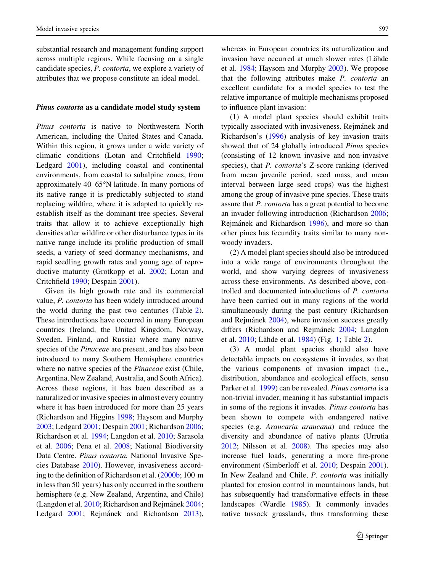substantial research and management funding support across multiple regions. While focusing on a single candidate species, P. contorta, we explore a variety of attributes that we propose constitute an ideal model.

#### Pinus contorta as a candidate model study system

Pinus contorta is native to Northwestern North American, including the United States and Canada. Within this region, it grows under a wide variety of climatic conditions (Lotan and Critchfield [1990](#page-14-0); Ledgard [2001](#page-14-0)), including coastal and continental environments, from coastal to subalpine zones, from approximately  $40-65^{\circ}$ N latitude. In many portions of its native range it is predictably subjected to stand replacing wildfire, where it is adapted to quickly reestablish itself as the dominant tree species. Several traits that allow it to achieve exceptionally high densities after wildfire or other disturbance types in its native range include its prolific production of small seeds, a variety of seed dormancy mechanisms, and rapid seedling growth rates and young age of reproductive maturity (Grotkopp et al. [2002](#page-13-0); Lotan and Critchfield [1990](#page-14-0); Despain [2001](#page-13-0)).

Given its high growth rate and its commercial value, P. contorta has been widely introduced around the world during the past two centuries (Table [2](#page-5-0)). These introductions have occurred in many European countries (Ireland, the United Kingdom, Norway, Sweden, Finland, and Russia) where many native species of the *Pinaceae* are present, and has also been introduced to many Southern Hemisphere countries where no native species of the *Pinaceae* exist (Chile, Argentina, New Zealand, Australia, and South Africa). Across these regions, it has been described as a naturalized or invasive species in almost every country where it has been introduced for more than 25 years (Richardson and Higgins [1998;](#page-15-0) Haysom and Murphy [2003;](#page-13-0) Ledgard [2001](#page-14-0); Despain [2001;](#page-13-0) Richardson [2006](#page-15-0); Richardson et al. [1994](#page-15-0); Langdon et al. [2010;](#page-14-0) Sarasola et al. [2006;](#page-15-0) Pena et al. [2008](#page-14-0); National Biodiversity Data Centre. Pinus contorta. National Invasive Species Database [2010](#page-14-0)). However, invasiveness according to the definition of Richardson et al. ([2000b;](#page-15-0) 100 m in less than 50 years) has only occurred in the southern hemisphere (e.g. New Zealand, Argentina, and Chile) (Langdon et al. [2010](#page-14-0); Richardson and Rejmánek [2004](#page-15-0); Ledgard [2001;](#page-14-0) Rejmánek and Richardson [2013](#page-15-0)), whereas in European countries its naturalization and invasion have occurred at much slower rates (Lähde et al. [1984](#page-14-0); Haysom and Murphy [2003\)](#page-13-0). We propose that the following attributes make P. contorta an excellent candidate for a model species to test the relative importance of multiple mechanisms proposed to influence plant invasion:

(1) A model plant species should exhibit traits typically associated with invasiveness. Rejmánek and Richardson's [\(1996](#page-15-0)) analysis of key invasion traits showed that of 24 globally introduced Pinus species (consisting of 12 known invasive and non-invasive species), that *P. contorta's* Z-score ranking (derived from mean juvenile period, seed mass, and mean interval between large seed crops) was the highest among the group of invasive pine species. These traits assure that P. contorta has a great potential to become an invader following introduction (Richardson [2006](#page-15-0); Rejmánek and Richardson [1996\)](#page-15-0), and more-so than other pines has fecundity traits similar to many nonwoody invaders.

(2) A model plant species should also be introduced into a wide range of environments throughout the world, and show varying degrees of invasiveness across these environments. As described above, controlled and documented introductions of P. contorta have been carried out in many regions of the world simultaneously during the past century (Richardson and Rejmánek [2004](#page-15-0)), where invasion success greatly differs (Richardson and Rejmánek [2004;](#page-15-0) Langdon et al. [2010](#page-14-0); Lähde et al. [1984\)](#page-14-0) (Fig. [1](#page-7-0); Table [2\)](#page-5-0).

(3) A model plant species should also have detectable impacts on ecosystems it invades, so that the various components of invasion impact (i.e., distribution, abundance and ecological effects, sensu Parker et al. [1999](#page-14-0)) can be revealed. Pinus contorta is a non-trivial invader, meaning it has substantial impacts in some of the regions it invades. Pinus contorta has been shown to compete with endangered native species (e.g. Araucaria araucana) and reduce the diversity and abundance of native plants (Urrutia [2012;](#page-15-0) Nilsson et al. [2008\)](#page-14-0). The species may also increase fuel loads, generating a more fire-prone environment (Simberloff et al. [2010](#page-15-0); Despain [2001](#page-13-0)). In New Zealand and Chile, P. contorta was initially planted for erosion control in mountainous lands, but has subsequently had transformative effects in these landscapes (Wardle [1985\)](#page-16-0). It commonly invades native tussock grasslands, thus transforming these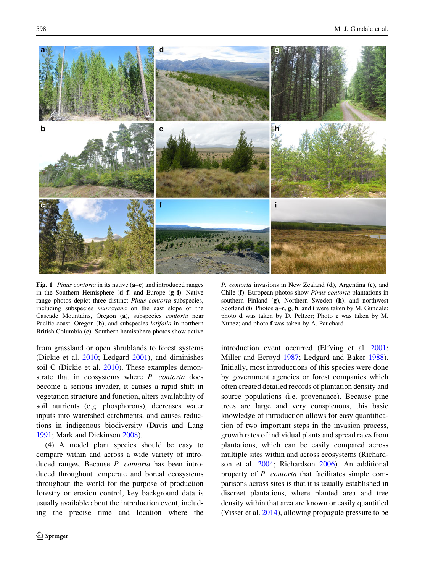<span id="page-7-0"></span>

Fig. 1 *Pinus contorta* in its native (a–c) and introduced ranges in the Southern Hemisphere (d–f) and Europe (g–i). Native range photos depict three distinct Pinus contorta subspecies, including subspecies murrayana on the east slope of the Cascade Mountains, Oregon (a), subspecies contorta near Pacific coast, Oregon (b), and subspecies *latifolia* in northern British Columbia (c). Southern hemisphere photos show active

from grassland or open shrublands to forest systems (Dickie et al. [2010](#page-13-0); Ledgard [2001](#page-14-0)), and diminishes soil C (Dickie et al. [2010](#page-13-0)). These examples demonstrate that in ecosystems where *P. contorta* does become a serious invader, it causes a rapid shift in vegetation structure and function, alters availability of soil nutrients (e.g. phosphorous), decreases water inputs into watershed catchments, and causes reductions in indigenous biodiversity (Davis and Lang [1991;](#page-13-0) Mark and Dickinson [2008\)](#page-14-0).

(4) A model plant species should be easy to compare within and across a wide variety of introduced ranges. Because P. contorta has been introduced throughout temperate and boreal ecosystems throughout the world for the purpose of production forestry or erosion control, key background data is usually available about the introduction event, including the precise time and location where the

P. contorta invasions in New Zealand (d), Argentina (e), and Chile (f). European photos show Pinus contorta plantations in southern Finland (g), Northern Sweden (h), and northwest Scotland (i). Photos **a–c**, **g**, **h**, and **i** were taken by M. Gundale; photo d was taken by D. Peltzer; Photo e was taken by M. Nunez; and photo f was taken by A. Pauchard

introduction event occurred (Elfving et al. [2001](#page-13-0); Miller and Ecroyd [1987;](#page-14-0) Ledgard and Baker [1988](#page-14-0)). Initially, most introductions of this species were done by government agencies or forest companies which often created detailed records of plantation density and source populations (i.e. provenance). Because pine trees are large and very conspicuous, this basic knowledge of introduction allows for easy quantification of two important steps in the invasion process, growth rates of individual plants and spread rates from plantations, which can be easily compared across multiple sites within and across ecosystems (Richardson et al. [2004](#page-15-0); Richardson [2006](#page-15-0)). An additional property of P. contorta that facilitates simple comparisons across sites is that it is usually established in discreet plantations, where planted area and tree density within that area are known or easily quantified (Visser et al. [2014\)](#page-15-0), allowing propagule pressure to be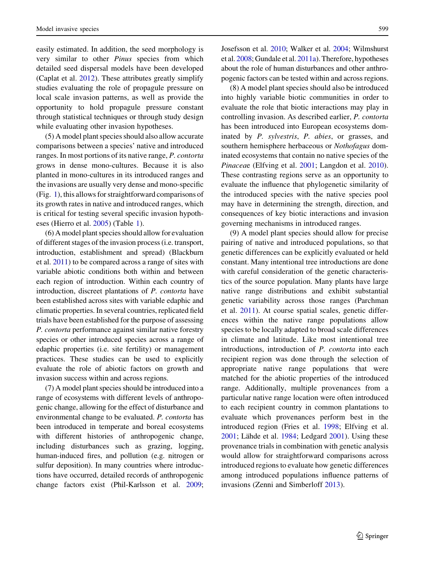easily estimated. In addition, the seed morphology is very similar to other Pinus species from which detailed seed dispersal models have been developed (Caplat et al. [2012](#page-13-0)). These attributes greatly simplify studies evaluating the role of propagule pressure on local scale invasion patterns, as well as provide the opportunity to hold propagule pressure constant through statistical techniques or through study design while evaluating other invasion hypotheses.

(5) A model plant species should also allow accurate comparisons between a species' native and introduced ranges. In most portions of its native range, P. contorta grows in dense mono-cultures. Because it is also planted in mono-cultures in its introduced ranges and the invasions are usually very dense and mono-specific (Fig. [1](#page-7-0)), this allows for straightforward comparisons of its growth rates in native and introduced ranges, which is critical for testing several specific invasion hypotheses (Hierro et al. [2005\)](#page-13-0) (Table [1](#page-2-0)).

(6) A model plant species should allow for evaluation of different stages of the invasion process (i.e. transport, introduction, establishment and spread) (Blackburn et al. [2011\)](#page-12-0) to be compared across a range of sites with variable abiotic conditions both within and between each region of introduction. Within each country of introduction, discreet plantations of P. contorta have been established across sites with variable edaphic and climatic properties. In several countries, replicated field trials have been established for the purpose of assessing P. contorta performance against similar native forestry species or other introduced species across a range of edaphic properties (i.e. site fertility) or management practices. These studies can be used to explicitly evaluate the role of abiotic factors on growth and invasion success within and across regions.

(7) A model plant species should be introduced into a range of ecosystems with different levels of anthropogenic change, allowing for the effect of disturbance and environmental change to be evaluated. P. contorta has been introduced in temperate and boreal ecosystems with different histories of anthropogenic change, including disturbances such as grazing, logging, human-induced fires, and pollution (e.g. nitrogen or sulfur deposition). In many countries where introductions have occurred, detailed records of anthropogenic change factors exist (Phil-Karlsson et al. [2009](#page-14-0); Josefsson et al. [2010;](#page-13-0) Walker et al. [2004;](#page-16-0) Wilmshurst et al. [2008](#page-16-0); Gundale et al. [2011a\)](#page-13-0). Therefore, hypotheses about the role of human disturbances and other anthropogenic factors can be tested within and across regions.

(8) A model plant species should also be introduced into highly variable biotic communities in order to evaluate the role that biotic interactions may play in controlling invasion. As described earlier, P. contorta has been introduced into European ecosystems dominated by P. sylvestris, P. abies, or grasses, and southern hemisphere herbaceous or Nothofagus dominated ecosystems that contain no native species of the Pinaceae (Elfving et al. [2001;](#page-13-0) Langdon et al. [2010](#page-14-0)). These contrasting regions serve as an opportunity to evaluate the influence that phylogenetic similarity of the introduced species with the native species pool may have in determining the strength, direction, and consequences of key biotic interactions and invasion governing mechanisms in introduced ranges.

(9) A model plant species should allow for precise pairing of native and introduced populations, so that genetic differences can be explicitly evaluated or held constant. Many intentional tree introductions are done with careful consideration of the genetic characteristics of the source population. Many plants have large native range distributions and exhibit substantial genetic variability across those ranges (Parchman et al. [2011](#page-14-0)). At course spatial scales, genetic differences within the native range populations allow species to be locally adapted to broad scale differences in climate and latitude. Like most intentional tree introductions, introduction of P. contorta into each recipient region was done through the selection of appropriate native range populations that were matched for the abiotic properties of the introduced range. Additionally, multiple provenances from a particular native range location were often introduced to each recipient country in common plantations to evaluate which provenances perform best in the introduced region (Fries et al. [1998;](#page-13-0) Elfving et al.  $2001$ ; Lähde et al. [1984;](#page-14-0) Ledgard  $2001$ ). Using these provenance trials in combination with genetic analysis would allow for straightforward comparisons across introduced regions to evaluate how genetic differences among introduced populations influence patterns of invasions (Zenni and Simberloff [2013](#page-16-0)).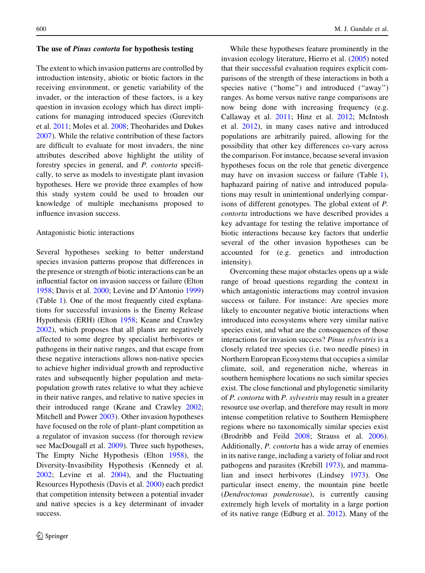#### The use of Pinus contorta for hypothesis testing

The extent to which invasion patterns are controlled by introduction intensity, abiotic or biotic factors in the receiving environment, or genetic variability of the invader, or the interaction of these factors, is a key question in invasion ecology which has direct implications for managing introduced species (Gurevitch et al. [2011;](#page-13-0) Moles et al. [2008;](#page-14-0) Theoharides and Dukes [2007\)](#page-15-0). While the relative contribution of these factors are difficult to evaluate for most invaders, the nine attributes described above highlight the utility of forestry species in general, and P. contorta specifically, to serve as models to investigate plant invasion hypotheses. Here we provide three examples of how this study system could be used to broaden our knowledge of multiple mechanisms proposed to influence invasion success.

# Antagonistic biotic interactions

Several hypotheses seeking to better understand species invasion patterns propose that differences in the presence or strength of biotic interactions can be an influential factor on invasion success or failure (Elton [1958;](#page-13-0) Davis et al. [2000](#page-13-0); Levine and D'Antonio [1999\)](#page-14-0) (Table [1](#page-2-0)). One of the most frequently cited explanations for successful invasions is the Enemy Release Hypothesis (ERH) (Elton [1958](#page-13-0); Keane and Crawley [2002\)](#page-13-0), which proposes that all plants are negatively affected to some degree by specialist herbivores or pathogens in their native ranges, and that escape from these negative interactions allows non-native species to achieve higher individual growth and reproductive rates and subsequently higher population and metapopulation growth rates relative to what they achieve in their native ranges, and relative to native species in their introduced range (Keane and Crawley [2002](#page-13-0); Mitchell and Power [2003\)](#page-14-0). Other invasion hypotheses have focused on the role of plant–plant competition as a regulator of invasion success (for thorough review see MacDougall et al. [2009\)](#page-14-0). Three such hypotheses, The Empty Niche Hypothesis (Elton [1958](#page-13-0)), the Diversity-Invasibility Hypothesis (Kennedy et al. [2002;](#page-13-0) Levine et al. [2004\)](#page-14-0), and the Fluctuating Resources Hypothesis (Davis et al. [2000\)](#page-13-0) each predict that competition intensity between a potential invader and native species is a key determinant of invader success.

While these hypotheses feature prominently in the invasion ecology literature, Hierro et al. [\(2005](#page-13-0)) noted that their successful evaluation requires explicit comparisons of the strength of these interactions in both a species native ("home") and introduced ("away") ranges. As home versus native range comparisons are now being done with increasing frequency (e.g. Callaway et al. [2011;](#page-13-0) Hinz et al. [2012](#page-13-0); McIntosh et al. [2012\)](#page-14-0), in many cases native and introduced populations are arbitrarily paired, allowing for the possibility that other key differences co-vary across the comparison. For instance, because several invasion hypotheses focus on the role that genetic divergence may have on invasion success or failure (Table [1](#page-2-0)), haphazard pairing of native and introduced populations may result in unintentional underlying comparisons of different genotypes. The global extent of P. contorta introductions we have described provides a key advantage for testing the relative importance of biotic interactions because key factors that underlie several of the other invasion hypotheses can be accounted for (e.g. genetics and introduction intensity).

Overcoming these major obstacles opens up a wide range of broad questions regarding the context in which antagonistic interactions may control invasion success or failure. For instance: Are species more likely to encounter negative biotic interactions when introduced into ecosystems where very similar native species exist, and what are the consequences of those interactions for invasion success? Pinus sylvestris is a closely related tree species (i.e. two needle pines) in Northern European Ecosystems that occupies a similar climate, soil, and regeneration niche, whereas in southern hemisphere locations no such similar species exist. The close functional and phylogenetic similarity of P. contorta with P. sylvestris may result in a greater resource use overlap, and therefore may result in more intense competition relative to Southern Hemisphere regions where no taxonomically similar species exist (Brodribb and Feild [2008](#page-12-0); Strauss et al. [2006](#page-15-0)). Additionally, P. contorta has a wide array of enemies in its native range, including a variety of foliar and root pathogens and parasites (Krebill [1973](#page-14-0)), and mammalian and insect herbivores (Lindsey [1973\)](#page-14-0). One particular insect enemy, the mountain pine beetle (Dendroctonus ponderosae), is currently causing extremely high levels of mortality in a large portion of its native range (Edburg et al. [2012](#page-13-0)). Many of the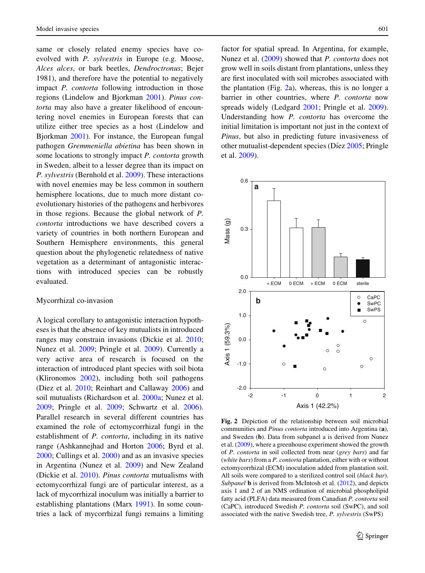<span id="page-10-0"></span>same or closely related enemy species have coevolved with P. sylvestris in Europe (e.g. Moose, Alces alces, or bark beetles, Dendroctronus; Bejer 1981), and therefore have the potential to negatively impact P. contorta following introduction in those regions (Lindelow and Bjorkman [2001](#page-14-0)). Pinus contorta may also have a greater likelihood of encountering novel enemies in European forests that can utilize either tree species as a host (Lindelow and Bjorkman [2001\)](#page-14-0). For instance, the European fungal pathogen Gremmeniella abietina has been shown in some locations to strongly impact P. contorta growth in Sweden, albeit to a lesser degree than its impact on P. sylvestris (Bernhold et al. [2009](#page-12-0)). These interactions with novel enemies may be less common in southern hemisphere locations, due to much more distant coevolutionary histories of the pathogens and herbivores in those regions. Because the global network of P. contorta introductions we have described covers a variety of countries in both northern European and Southern Hemisphere environments, this general question about the phylogenetic relatedness of native vegetation as a determinant of antagonistic interactions with introduced species can be robustly evaluated.

## Mycorrhizal co-invasion

A logical corollary to antagonistic interaction hypotheses is that the absence of key mutualists in introduced ranges may constrain invasions (Dickie et al. [2010](#page-13-0); Nunez et al. [2009;](#page-14-0) Pringle et al. [2009\)](#page-14-0). Currently a very active area of research is focused on the interaction of introduced plant species with soil biota (Klironomos [2002](#page-13-0)), including both soil pathogens (Diez et al. [2010;](#page-13-0) Reinhart and Callaway [2006\)](#page-15-0) and soil mutualists (Richardson et al. [2000a](#page-15-0); Nunez et al. [2009;](#page-14-0) Pringle et al. [2009](#page-14-0); Schwartz et al. [2006](#page-15-0)). Parallel research in several different countries has examined the role of ectomycorrhizal fungi in the establishment of P. contorta, including in its native range (Ashkannejhad and Horton [2006](#page-12-0); Byrd et al. [2000;](#page-12-0) Cullings et al. [2000](#page-13-0)) and as an invasive species in Argentina (Nunez et al. [2009](#page-14-0)) and New Zealand (Dickie et al. [2010](#page-13-0)). Pinus contorta mutualisms with ectomycorrhizal fungi are of particular interest, as a lack of mycorrhizal inoculum was initially a barrier to establishing plantations (Marx [1991\)](#page-14-0). In some countries a lack of mycorrhizal fungi remains a limiting factor for spatial spread. In Argentina, for example, Nunez et al. [\(2009](#page-14-0)) showed that P. contorta does not grow well in soils distant from plantations, unless they are first inoculated with soil microbes associated with the plantation (Fig. 2a), whereas, this is no longer a barrier in other countries, where P. contorta now spreads widely (Ledgard [2001](#page-14-0); Pringle et al. [2009](#page-14-0)). Understanding how P. contorta has overcome the initial limitation is important not just in the context of Pinus, but also in predicting future invasiveness of other mutualist-dependent species (Díez [2005;](#page-13-0) Pringle et al. [2009](#page-14-0)).



Fig. 2 Depiction of the relationship between soil microbial communities and Pinus contorta introduced into Argentina (a), and Sweden (b). Data from subpanel a is derived from Nunez et al. [\(2009](#page-14-0)), where a greenhouse experiment showed the growth of P. contorta in soil collected from near (grey bars) and far (white bars) from a P. contorta plantation, either with or without ectomycorrhizal (ECM) inoculation added from plantation soil. All soils were compared to a sterilized control soil (black bar). Subpanel **b** is derived from McIntosh et al. [\(2012](#page-14-0)), and depicts axis 1 and 2 of an NMS ordination of microbial phospholipid fatty acid (PLFA) data measured from Canadian P. contorta soil (CaPC), introduced Swedish P. contorta soil (SwPC), and soil associated with the native Swedish tree, P. sylvestris (SwPS)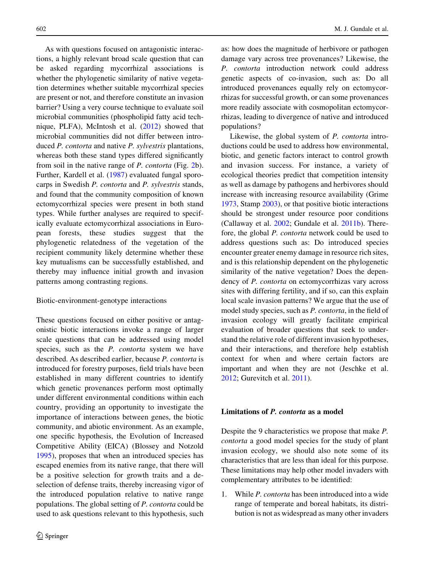As with questions focused on antagonistic interactions, a highly relevant broad scale question that can be asked regarding mycorrhizal associations is whether the phylogenetic similarity of native vegetation determines whether suitable mycorrhizal species are present or not, and therefore constitute an invasion barrier? Using a very course technique to evaluate soil microbial communities (phospholipid fatty acid technique, PLFA), McIntosh et al. ([2012\)](#page-14-0) showed that microbial communities did not differ between introduced *P. contorta* and native *P. sylvestris* plantations, whereas both these stand types differed significantly from soil in the native range of P. contorta (Fig. [2](#page-10-0)b). Further, Kardell et al. ([1987\)](#page-13-0) evaluated fungal sporocarps in Swedish P. contorta and P. sylvestris stands, and found that the community composition of known ectomycorrhizal species were present in both stand types. While further analyses are required to specifically evaluate ectomycorrhizal associations in European forests, these studies suggest that the phylogenetic relatedness of the vegetation of the recipient community likely determine whether these key mutualisms can be successfully established, and thereby may influence initial growth and invasion patterns among contrasting regions.

#### Biotic-environment-genotype interactions

These questions focused on either positive or antagonistic biotic interactions invoke a range of larger scale questions that can be addressed using model species, such as the P. contorta system we have described. As described earlier, because P. contorta is introduced for forestry purposes, field trials have been established in many different countries to identify which genetic provenances perform most optimally under different environmental conditions within each country, providing an opportunity to investigate the importance of interactions between genes, the biotic community, and abiotic environment. As an example, one specific hypothesis, the Evolution of Increased Competitive Ability (EICA) (Blossey and Notzold [1995\)](#page-12-0), proposes that when an introduced species has escaped enemies from its native range, that there will be a positive selection for growth traits and a deselection of defense traits, thereby increasing vigor of the introduced population relative to native range populations. The global setting of P. contorta could be used to ask questions relevant to this hypothesis, such

as: how does the magnitude of herbivore or pathogen damage vary across tree provenances? Likewise, the P. contorta introduction network could address genetic aspects of co-invasion, such as: Do all introduced provenances equally rely on ectomycorrhizas for successful growth, or can some provenances more readily associate with cosmopolitan ectomycorrhizas, leading to divergence of native and introduced populations?

Likewise, the global system of P. contorta introductions could be used to address how environmental, biotic, and genetic factors interact to control growth and invasion success. For instance, a variety of ecological theories predict that competition intensity as well as damage by pathogens and herbivores should increase with increasing resource availability (Grime [1973,](#page-13-0) Stamp [2003\)](#page-15-0), or that positive biotic interactions should be strongest under resource poor conditions (Callaway et al. [2002;](#page-13-0) Gundale et al. [2011b\)](#page-13-0). Therefore, the global P. contorta network could be used to address questions such as: Do introduced species encounter greater enemy damage in resource rich sites, and is this relationship dependent on the phylogenetic similarity of the native vegetation? Does the dependency of P. contorta on ectomycorrhizas vary across sites with differing fertility, and if so, can this explain local scale invasion patterns? We argue that the use of model study species, such as P. contorta, in the field of invasion ecology will greatly facilitate empirical evaluation of broader questions that seek to understand the relative role of different invasion hypotheses, and their interactions, and therefore help establish context for when and where certain factors are important and when they are not (Jeschke et al. [2012;](#page-13-0) Gurevitch et al. [2011\)](#page-13-0).

## Limitations of P. contorta as a model

Despite the 9 characteristics we propose that make P. contorta a good model species for the study of plant invasion ecology, we should also note some of its characteristics that are less than ideal for this purpose. These limitations may help other model invaders with complementary attributes to be identified:

1. While P. contorta has been introduced into a wide range of temperate and boreal habitats, its distribution is not as widespread as many other invaders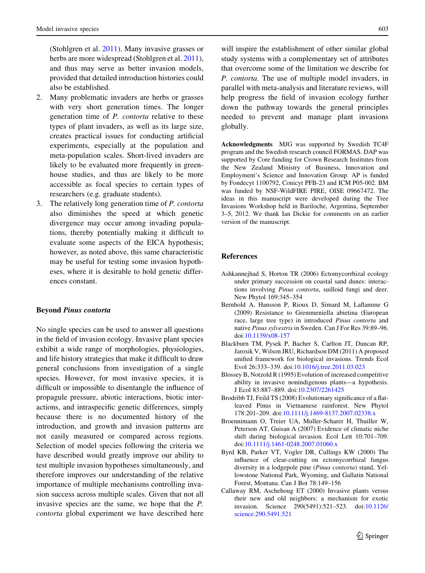<span id="page-12-0"></span>(Stohlgren et al. [2011\)](#page-15-0). Many invasive grasses or herbs are more widespread (Stohlgren et al. [2011](#page-15-0)), and thus may serve as better invasion models, provided that detailed introduction histories could also be established.

- 2. Many problematic invaders are herbs or grasses with very short generation times. The longer generation time of P. contorta relative to these types of plant invaders, as well as its large size, creates practical issues for conducting artificial experiments, especially at the population and meta-population scales. Short-lived invaders are likely to be evaluated more frequently in greenhouse studies, and thus are likely to be more accessible as focal species to certain types of researchers (e.g. graduate students).
- 3. The relatively long generation time of P. contorta also diminishes the speed at which genetic divergence may occur among invading populations, thereby potentially making it difficult to evaluate some aspects of the EICA hypothesis; however, as noted above, this same characteristic may be useful for testing some invasion hypotheses, where it is desirable to hold genetic differences constant.

#### Beyond Pinus contorta

No single species can be used to answer all questions in the field of invasion ecology. Invasive plant species exhibit a wide range of morphologies, physiologies, and life history strategies that make it difficult to draw general conclusions from investigation of a single species. However, for most invasive species, it is difficult or impossible to disentangle the influence of propagule pressure, abiotic interactions, biotic interactions, and intraspecific genetic differences, simply because there is no documented history of the introduction, and growth and invasion patterns are not easily measured or compared across regions. Selection of model species following the criteria we have described would greatly improve our ability to test multiple invasion hypotheses simultaneously, and therefore improves our understanding of the relative importance of multiple mechanisms controlling invasion success across multiple scales. Given that not all invasive species are the same, we hope that the P. contorta global experiment we have described here

will inspire the establishment of other similar global study systems with a complementary set of attributes that overcome some of the limitation we describe for P. contorta. The use of multiple model invaders, in parallel with meta-analysis and literature reviews, will help progress the field of invasion ecology further down the pathway towards the general principles needed to prevent and manage plant invasions globally.

Acknowledgments MJG was supported by Swedish TC4F program and the Swedish research council FORMAS. DAP was supported by Core funding for Crown Research Institutes from the New Zealand Ministry of Business, Innovation and Employment's Science and Innovation Group. AP is funded by Fondecyt 1100792, Conicyt PFB-23 and ICM P05-002. BM was funded by NSF-WildFIRE PIRE, OISE 09667472. The ideas in this manuscript were developed during the Tree Invasions Workshop held in Bariloche, Argentina, September 3–5, 2012. We thank Ian Dickie for comments on an earlier version of the manuscript.

# References

- Ashkannejhad S, Horton TR (2006) Ectomycorrhizal ecology under primary succession on coastal sand dunes: interactions involving Pinus contorta, suilloid fungi and deer. New Phytol 169:345–354
- Bernhold A, Hansson P, Rioux D, Simard M, Laflamme G (2009) Resistance to Gremmeniella abietina (European race, large tree type) in introduced Pinus contorta and native Pinus sylvestris in Sweden. Can J For Res 39:89–96. doi[:10.1139/x08-157](http://dx.doi.org/10.1139/x08-157)
- Blackburn TM, Pysek P, Bacher S, Carlton JT, Duncan RP, Jarosik V, Wilson JRU, Richardson DM (2011) A proposed unified framework for biological invasions. Trends Ecol Evol 26:333–339. doi:[10.1016/j.tree.2011.03.023](http://dx.doi.org/10.1016/j.tree.2011.03.023)
- Blossey B, Notzold R (1995) Evolution of increased competitive ability in invasive nonindigenous plants—a hypothesis. J Ecol 83:887–889. doi:[10.2307/2261425](http://dx.doi.org/10.2307/2261425)
- Brodribb TJ, Feild TS (2008) Evolutionary significance of a flatleaved Pinus in Vietnamese rainforest. New Phytol 178:201–209. doi[:10.1111/j.1469-8137.2007.02338.x](http://dx.doi.org/10.1111/j.1469-8137.2007.02338.x)
- Broennimann O, Treier UA, Muller-Scharer H, Thuiller W, Peterson AT, Guisan A (2007) Evidence of climatic niche shift during biological invasion. Ecol Lett 10:701–709. doi[:10.1111/j.1461-0248.2007.01060.x](http://dx.doi.org/10.1111/j.1461-0248.2007.01060.x)
- Byrd KB, Parker VT, Vogler DR, Cullings KW (2000) The influence of clear-cutting on ectomycorrhizal fungus diversity in a lodgepole pine (Pinus contorta) stand, Yellowstone National Park, Wyoming, and Gallatin National Forest, Montana. Can J Bot 78:149–156
- Callaway RM, Aschehoug ET (2000) Invasive plants versus their new and old neighbors: a mechanism for exotic invasion. Science 290(5491):521–523. doi[:10.1126/](http://dx.doi.org/10.1126/science.290.5491.521) [science.290.5491.521](http://dx.doi.org/10.1126/science.290.5491.521)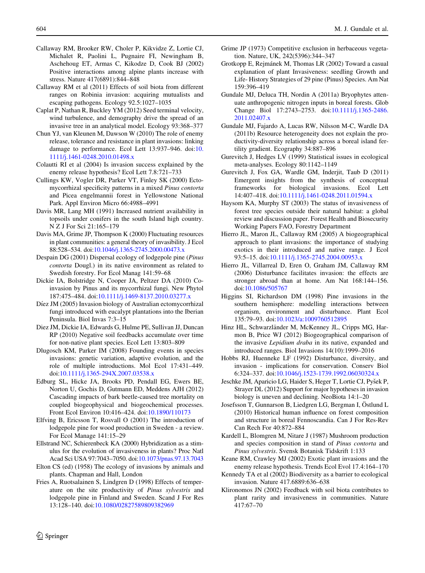- <span id="page-13-0"></span>Callaway RM, Brooker RW, Choler P, Kikvidze Z, Lortie CJ, Michalet R, Paolini L, Pugnaire FI, Newingham B, Aschehoug ET, Armas C, Kikodze D, Cook BJ (2002) Positive interactions among alpine plants increase with stress. Nature 417(6891):844–848
- Callaway RM et al (2011) Effects of soil biota from different ranges on Robinia invasion: acquiring mutualists and escaping pathogens. Ecology 92.5:1027–1035
- Caplat P, Nathan R, Buckley YM (2012) Seed terminal velocity, wind turbulence, and demography drive the spread of an invasive tree in an analytical model. Ecology 93:368–377
- Chun YJ, van Kleunen M, Dawson W (2010) The role of enemy release, tolerance and resistance in plant invasions: linking damage to performance. Ecol Lett 13:937–946. doi:[10.](http://dx.doi.org/10.1111/j.1461-0248.2010.01498.x) [1111/j.1461-0248.2010.01498.x](http://dx.doi.org/10.1111/j.1461-0248.2010.01498.x)
- Colautti RI et al (2004) Is invasion success explained by the enemy release hypothesis? Ecol Lett 7.8:721–733
- Cullings KW, Vogler DR, Parker VT, Finley SK (2000) Ectomycorrhizal specificity patterns in a mixed Pinus contorta and Picea engelmannii forest in Yellowstone National Park. Appl Environ Micro 66:4988–4991
- Davis MR, Lang MH (1991) Increased nutrient availability in topsoils under conifers in the south Island high country. N Z J For Sci 21:165–179
- Davis MA, Grime JP, Thompson K (2000) Fluctuating resources in plant communities: a general theory of invasibility. J Ecol 88:528–534. doi:[10.1046/j.1365-2745.2000.00473.x](http://dx.doi.org/10.1046/j.1365-2745.2000.00473.x)
- Despain DG (2001) Dispersal ecology of lodgepole pine (Pinus contorta Dougl.) in its native environment as related to Swedish forestry. For Ecol Manag 141:59–68
- Dickie IA, Bolstridge N, Cooper JA, Peltzer DA (2010) Coinvasion by Pinus and its mycorrhizal fungi. New Phytol 187:475–484. doi[:10.1111/j.1469-8137.2010.03277.x](http://dx.doi.org/10.1111/j.1469-8137.2010.03277.x)
- Díez JM (2005) Invasion biology of Australian ectomycorrhizal fungi introduced with eucalypt plantations into the Iberian Peninsula. Biol Invas 7:3–15
- Diez JM, Dickie IA, Edwards G, Hulme PE, Sullivan JJ, Duncan RP (2010) Negative soil feedbacks accumulate over time for non-native plant species. Ecol Lett 13:803–809
- Dlugosch KM, Parker IM (2008) Founding events in species invasions: genetic variation, adaptive evolution, and the role of multiple introductions. Mol Ecol 17:431–449. doi[:10.1111/j.1365-294X.2007.03538.x](http://dx.doi.org/10.1111/j.1365-294X.2007.03538.x)
- Edburg SL, Hicke JA, Brooks PD, Pendall EG, Ewers BE, Norton U, Gochis D, Gutmann ED, Meddens AJH (2012) Cascading impacts of bark beetle-caused tree mortality on coupled biogeophysical and biogeochemical processes. Front Ecol Environ 10:416–424. doi[:10.1890/110173](http://dx.doi.org/10.1890/110173)
- Elfving B, Ericsson T, Rosvall O (2001) The introduction of lodgepole pine for wood production in Sweden - a review. For Ecol Manage 141:15–29
- Ellstrand NC, Schierenbeck KA (2000) Hybridization as a stimulus for the evolution of invasiveness in plants? Proc Natl Acad Sci USA 97:7043–7050. doi[:10.1073/pnas.97.13.7043](http://dx.doi.org/10.1073/pnas.97.13.7043)
- Elton CS (ed) (1958) The ecology of invasions by animals and plants. Chapman and Hall, London
- Fries A, Ruotsalainen S, Lindgren D (1998) Effects of temperature on the site productivity of Pinus sylvestris and lodgepole pine in Finland and Sweden. Scand J For Res 13:128–140. doi:[10.1080/02827589809382969](http://dx.doi.org/10.1080/02827589809382969)
- Grime JP (1973) Competitive exclusion in herbaceous vegetation. Nature, UK, 242(5396):344–347
- Grotkopp E, Rejmánek M, Thomas LR (2002) Toward a casual explanation of plant Invasiveness: seedling Growth and Life- History Strategies of 29 pine (Pinus) Species. Am Nat 159:396–419
- Gundale MJ, Deluca TH, Nordin A (2011a) Bryophytes attenuate anthropogenic nitrogen inputs in boreal forests. Glob Change Biol 17:2743–2753. doi[:10.1111/j.1365-2486.](http://dx.doi.org/10.1111/j.1365-2486.2011.02407.x) [2011.02407.x](http://dx.doi.org/10.1111/j.1365-2486.2011.02407.x)
- Gundale MJ, Fajardo A, Lucas RW, Nilsson M-C, Wardle DA (2011b) Resource heterogeneity does not explain the productivity-diversity relationship across a boreal island fertility gradient. Ecography 34:887–896
- Gurevitch J, Hedges LV (1999) Statistical issues in ecological meta-analyses. Ecology 80:1142–1149
- Gurevitch J, Fox GA, Wardle GM, Inderjit, Taub D (2011) Emergent insights from the synthesis of conceptual frameworks for biological invasions. Ecol Lett 14:407–418. doi[:10.1111/j.1461-0248.2011.01594.x](http://dx.doi.org/10.1111/j.1461-0248.2011.01594.x)
- Haysom KA, Murphy ST (2003) The status of invasiveness of forest tree species outside their natural habitat: a global review and discussion paper. Forest Health and Biosecurity Working Papers FAO, Forestry Department
- Hierro JL, Maron JL, Callaway RM (2005) A biogeographical approach to plant invasions: the importance of studying exotics in their introduced and native range. J Ecol 93:5–15. doi[:10.1111/j.1365-2745.2004.00953.x](http://dx.doi.org/10.1111/j.1365-2745.2004.00953.x)
- Hierro JL, Villarreal D, Eren O, Graham JM, Callaway RM (2006) Disturbance facilitates invasion: the effects are stronger abroad than at home. Am Nat 168:144–156. doi[:10.1086/505767](http://dx.doi.org/10.1086/505767)
- Higgins SI, Richardson DM (1998) Pine invasions in the southern hemisphere: modelling interactions between organism, environment and disturbance. Plant Ecol 135:79–93. doi:[10.1023/a:1009760512895](http://dx.doi.org/10.1023/a:1009760512895)
- Hinz HL, Schwarzländer M, McKenney JL, Cripps MG, Harmon B, Price WJ (2012) Biogeographical comparison of the invasive Lepidium draba in its native, expanded and introduced ranges. Biol Invasions 14(10):1999–2016
- Hobbs RJ, Huenneke LF (1992) Disturbance, diversity, and invasion - implications for conservation. Conserv Biol 6:324–337. doi:[10.1046/j.1523-1739.1992.06030324.x](http://dx.doi.org/10.1046/j.1523-1739.1992.06030324.x)
- Jeschke JM, Aparicio LG, Haider S, Heger T, Lortie CJ, Pyšek P, Strayer DL (2012) Support for major hypotheses in invasion biology is uneven and declining. NeoBiota 14:1–20
- Josefsson T, Gunnarson B, Liedgren LG, Bergman I, Östlund L (2010) Historical human influence on forest composition and structure in boreal Fennoscandia. Can J For Res-Rev Can Rech For 40:872–884
- Kardell L, Blomgren M, Nitare J (1987) Mushroom production and species composition in stand of Pinus contorta and Pinus sylvestris. Svensk Botanisk Tidskrift 1:133
- Keane RM, Crawley MJ (2002) Exotic plant invasions and the enemy release hypothesis. Trends Ecol Evol 17.4:164–170
- Kennedy TA et al (2002) Biodiversity as a barrier to ecological invasion. Nature 417.6889:636–638
- Klironomos JN (2002) Feedback with soil biota contributes to plant rarity and invasiveness in communities. Nature 417:67–70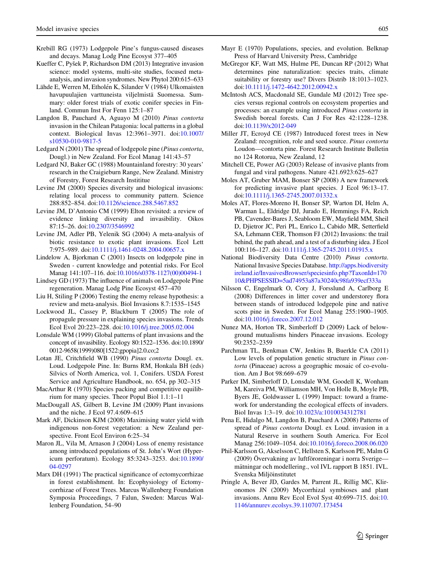- <span id="page-14-0"></span>Krebill RG (1973) Lodgepole Pine's fungus-caused diseases and decays. Manag Lodg Pine Ecosyst 377–405
- Kueffer C, Pyšek P, Richardson DM (2013) Integrative invasion science: model systems, multi-site studies, focused metaanalysis, and invasion syndromes. New Phytol 200:615–633
- Lähde E, Werren M, Etholén K, Silander V (1984) Ulkomaisten havupuulajien varttuneista viljelmista¨ Suomessa. Summary: older forest trials of exotic conifer species in Finland. Commun Inst For Fenn 125:1–87
- Langdon B, Pauchard A, Aguayo M (2010) Pinus contorta invasion in the Chilean Patagonia: local patterns in a global context. Biological Invas 12:3961–3971. doi[:10.1007/](http://dx.doi.org/10.1007/s10530-010-9817-5) [s10530-010-9817-5](http://dx.doi.org/10.1007/s10530-010-9817-5)
- Ledgard N (2001) The spread of lodgepole pine (Pinus contorta, Dougl.) in New Zealand. For Ecol Manag 141:43–57
- Ledgard NJ, Baker GC (1988) Mountainland forestry: 30 years' research in the Craigieburn Range, New Zealand. Ministry of Forestry, Forest Research Instititue
- Levine JM (2000) Species diversity and biological invasions: relating local process to community pattern. Science 288:852–854. doi[:10.1126/science.288.5467.852](http://dx.doi.org/10.1126/science.288.5467.852)
- Levine JM, D'Antonio CM (1999) Elton revisited: a review of evidence linking diversity and invasibility. Oikos 87:15–26. doi:[10.2307/3546992](http://dx.doi.org/10.2307/3546992)
- Levine JM, Adler PB, Yelenik SG (2004) A meta-analysis of biotic resistance to exotic plant invasions. Ecol Lett 7:975–989. doi:[10.1111/j.1461-0248.2004.00657.x](http://dx.doi.org/10.1111/j.1461-0248.2004.00657.x)
- Lindelow A, Bjorkman C (2001) Insects on lodgepole pine in Sweden - current knowledge and potential risks. For Ecol Manag 141:107–116. doi[:10.1016/s0378-1127\(00\)00494-1](http://dx.doi.org/10.1016/s0378-1127(00)00494-1)
- Lindsey GD (1973) The influence of animals on Lodgepole Pine regeneration. Manag Lodg Pine Ecosyst 457–470
- Liu H, Stiling P (2006) Testing the enemy release hypothesis: a review and meta-analysis. Biol Invasions 8.7:1535–1545
- Lockwood JL, Cassey P, Blackburn T (2005) The role of propagule pressure in explaining species invasions. Trends Ecol Evol 20:223–228. doi[:10.1016/j.tree.2005.02.004](http://dx.doi.org/10.1016/j.tree.2005.02.004)
- Lonsdale WM (1999) Global patterns of plant invasions and the concept of invasibility. Ecology 80:1522–1536. doi:10.1890/ 0012-9658(1999)080[1522:gpopia]2.0.co;2
- Lotan JE, Critchfield WB (1990) Pinus contorta Dougl. ex. Loud. Lodgepole Pine. In: Burns RM, Honkala BH (eds) Silvics of North America, vol. 1, Conifers. USDA Forest Service and Agriculture Handbook, no. 654, pp 302–315
- MacArthur R (1970) Species packing and competitive equilibrium for many species. Theor Popul Biol 1.1:1–11
- MacDougall AS, Gilbert B, Levine JM (2009) Plant invasions and the niche. J Ecol 97.4:609–615
- Mark AF, Dickinson KJM (2008) Maximising water yield with indigenous non-forest vegetation: a New Zealand perspective. Front Ecol Environ 6:25–34
- Maron JL, Vila M, Arnason J (2004) Loss of enemy resistance among introduced populations of St. John's Wort (Hypericum perforatum). Ecology 85:3243–3253. doi[:10.1890/](http://dx.doi.org/10.1890/04-0297) [04-0297](http://dx.doi.org/10.1890/04-0297)
- Marx DH (1991) The practical significance of ectomycorrhizae in forest establishment. In: Ecophysiology of Ectomycorrhizae of Forest Trees. Marcus Wallenberg Foundation Symposia Proceedings, 7 Falun, Sweden: Marcus Wallenberg Foundation, 54–90
- Mayr E (1970) Populations, species, and evolution. Belknap
- Press of Harvard University Press, Cambridge McGregor KF, Watt MS, Hulme PE, Duncan RP (2012) What determines pine naturalization: species traits, climate suitability or forestry use? Divers Distrib 18:1013–1023. doi[:10.1111/j.1472-4642.2012.00942.x](http://dx.doi.org/10.1111/j.1472-4642.2012.00942.x)
- McIntosh ACS, Macdonald SE, Gundale MJ (2012) Tree species versus regional controls on ecosystem properties and processes: an example using introduced Pinus contorta in Swedish boreal forests. Can J For Res 42:1228–1238. doi[:10.1139/x2012-049](http://dx.doi.org/10.1139/x2012-049)
- Miller JT, Ecroyd CE (1987) Introduced forest trees in New Zealand: recognition, role and seed source. Pinus contorta Loudon—contorta pine. Forest Research Institute Bulletin no 124 Rotorua, New Zealand, 12
- Mitchell CE, Power AG (2003) Release of invasive plants from fungal and viral pathogens. Nature 421.6923:625–627
- Moles AT, Gruber MAM, Bonser SP (2008) A new framework for predicting invasive plant species. J Ecol 96:13–17. doi[:10.1111/j.1365-2745.2007.01332.x](http://dx.doi.org/10.1111/j.1365-2745.2007.01332.x)
- Moles AT, Flores-Moreno H, Bonser SP, Warton DI, Helm A, Warman L, Eldridge DJ, Jurado E, Hemmings FA, Reich PB, Cavender-Bares J, Seabloom EW, Mayfield MM, Sheil D, Djietror JC, Peri PL, Enrico L, Cabido MR, Setterfield SA, Lehmann CER, Thomson FJ (2012) Invasions: the trail behind, the path ahead, and a test of a disturbing idea. J Ecol 100:116–127. doi[:10.1111/j.1365-2745.2011.01915.x](http://dx.doi.org/10.1111/j.1365-2745.2011.01915.x)
- National Biodiversity Data Centre (2010) Pinus contorta. National Invasive Species Database. [http://apps.biodiversity](http://apps.biodiversityireland.ie/InvasivesBrowser/speciesinfo.php?TaxonId=17010&PHPSESSID=5ad74953a87a30240c98fa939ecf333a) [ireland.ie/InvasivesBrowser/speciesinfo.php?TaxonId=170](http://apps.biodiversityireland.ie/InvasivesBrowser/speciesinfo.php?TaxonId=17010&PHPSESSID=5ad74953a87a30240c98fa939ecf333a) [10&PHPSESSID=5ad74953a87a30240c98fa939ecf333a](http://apps.biodiversityireland.ie/InvasivesBrowser/speciesinfo.php?TaxonId=17010&PHPSESSID=5ad74953a87a30240c98fa939ecf333a)
- Nilsson C, Engelmark O, Cory J, Forsslund A, Carlborg E (2008) Differences in litter cover and understorey flora between stands of introduced lodgepole pine and native scots pine in Sweden. For Ecol Manag 255:1900–1905. doi[:10.1016/j.foreco.2007.12.012](http://dx.doi.org/10.1016/j.foreco.2007.12.012)
- Nunez MA, Horton TR, Simberloff D (2009) Lack of belowground mutualisms hinders Pinaceae invasions. Ecology 90:2352–2359
- Parchman TL, Benkman CW, Jenkins B, Buerkle CA (2011) Low levels of population genetic structure in *Pinus con*torta (Pinaceae) across a geographic mosaic of co-evolution. Am J Bot 98:669–679
- Parker IM, Simberloff D, Lonsdale WM, Goodell K, Wonham M, Kareiva PM, Williamson MH, Von Holle B, Moyle PB, Byers JE, Goldwasser L (1999) Impact: toward a framework for understanding the ecological effects of invaders. Biol Invas 1:3–19. doi:[10.1023/a:1010034312781](http://dx.doi.org/10.1023/a:1010034312781)
- Pena E, Hidalgo M, Langdon B, Pauchard A (2008) Patterns of spread of Pinus contorta Dougl. ex Loud. invasion in a Natural Reserve in southern South America. For Ecol Manag 256:1049–1054. doi:[10.1016/j.foreco.2008.06.020](http://dx.doi.org/10.1016/j.foreco.2008.06.020)
- Phil-Karlsson G, Akselsson C, Hellsten S, Karlsson PE, Malm G (2009) Övervakning av luftföroreningar i norra Sverige mätningar och modellering., vol IVL rapport B 1851. IVL. Svenska Miljöinstitutet
- Pringle A, Bever JD, Gardes M, Parrent JL, Rillig MC, Klironomos JN (2009) Mycorrhizal symbioses and plant invasions. Annu Rev Ecol Evol Syst 40:699–715. doi:[10.](http://dx.doi.org/10.1146/annurev.ecolsys.39.110707.173454) [1146/annurev.ecolsys.39.110707.173454](http://dx.doi.org/10.1146/annurev.ecolsys.39.110707.173454)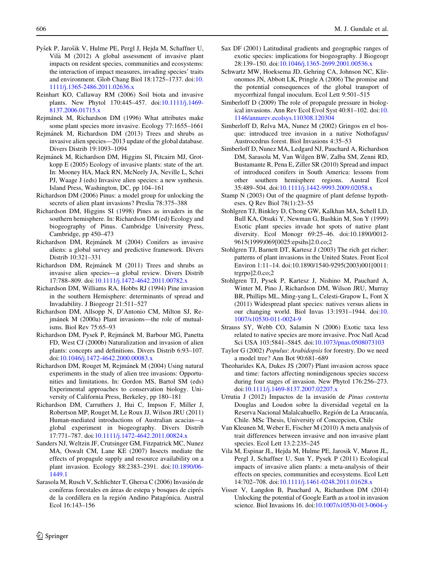- <span id="page-15-0"></span>Pyšek P, Jarošik V, Hulme PE, Pergl J, Hejda M, Schaffner U, Vila` M (2012) A global assessment of invasive plant impacts on resident species, communities and ecosystems: the interaction of impact measures, invading species' traits and environment. Glob Chang Biol 18:1725–1737. doi:[10.](http://dx.doi.org/10.1111/j.1365-2486.2011.02636.x) [1111/j.1365-2486.2011.02636.x](http://dx.doi.org/10.1111/j.1365-2486.2011.02636.x)
- Reinhart KO, Callaway RM (2006) Soil biota and invasive plants. New Phytol 170:445–457. doi[:10.1111/j.1469-](http://dx.doi.org/10.1111/j.1469-8137.2006.01715.x) [8137.2006.01715.x](http://dx.doi.org/10.1111/j.1469-8137.2006.01715.x)
- Rejmánek M, Richardson DM (1996) What attributes make some plant species more invasive. Ecology 77:1655–1661
- Rejma´nek M, Richardson DM (2013) Trees and shrubs as invasive alien species—2013 update of the global database. Divers Distrib 19:1093–1094
- Rejma´nek M, Richardson DM, Higgins SI, Pitcairn MJ, Grotkopp E (2005) Ecology of invasive plants: state of the art. In: Mooney HA, Mack RN, McNeely JA, Neville L, Schei PJ, Waage J (eds) Invasive alien species: a new synthesis. Island Press, Washington, DC, pp 104–161
- Richardson DM (2006) Pinus: a model group for unlocking the secrets of alien plant invasions? Preslia 78:375–388
- Richardson DM, Higgins SI (1998) Pines as invaders in the southern hemisphere. In: Richardson DM (ed) Ecology and biogeography of Pinus. Cambridge University Press, Cambridge, pp 450–473
- Richardson DM, Rejmánek M (2004) Conifers as invasive aliens: a global survey and predictive framework. Divers Distrib 10:321–331
- Richardson DM, Rejmánek M (2011) Trees and shrubs as invasive alien species—a global review. Divers Distrib 17:788–809. doi:[10.1111/j.1472-4642.2011.00782.x](http://dx.doi.org/10.1111/j.1472-4642.2011.00782.x)
- Richardson DM, Williams RA, Hobbs RJ (1994) Pine invasion in the southern Hemisphere: determinants of spread and Invadability. J Biogeogr 21:511–527
- Richardson DM, Allsopp N, D'Antonio CM, Milton SJ, Rejmánek M (2000a) Plant invasions—the role of mutualisms. Biol Rev 75:65–93
- Richardson DM, Pysek P, Rejmánek M, Barbour MG, Panetta FD, West CJ (2000b) Naturalization and invasion of alien plants: concepts and definitions. Divers Distrib 6:93–107. doi[:10.1046/j.1472-4642.2000.00083.x](http://dx.doi.org/10.1046/j.1472-4642.2000.00083.x)
- Richardson DM, Rouget M, Rejmánek M (2004) Using natural experiments in the study of alien tree invasions: Opportunities and limitations. In: Gordon MS, Bartol SM (eds) Experimental approaches to conservation biology. University of California Press, Berkeley, pp 180–181
- Richardson DM, Carruthers J, Hui C, Impson F, Miller J, Robertson MP, Rouget M, Le Roux JJ, Wilson JRU (2011) Human-mediated introductions of Australian acacias—a global experiment in biogeography. Divers Distrib 17:771–787. doi:[10.1111/j.1472-4642.2011.00824.x](http://dx.doi.org/10.1111/j.1472-4642.2011.00824.x)
- Sanders NJ, Weltzin JF, Crutsinger GM, Fitzpatrick MC, Nunez MA, Oswalt CM, Lane KE (2007) Insects mediate the effects of propagule supply and resource availability on a plant invasion. Ecology 88:2383–2391. doi[:10.1890/06-](http://dx.doi.org/10.1890/06-1449.1) [1449.1](http://dx.doi.org/10.1890/06-1449.1)
- Sarasola M, Rusch V, Schlichter T, Ghersa C (2006) Invasión de coníferas forestales en áreas de estepa y bosques de ciprés de la cordillera en la región Andino Patagónica. Austral Ecol 16:143–156
- Sax DF (2001) Latitudinal gradients and geographic ranges of exotic species: implications for biogeography. J Biogeogr 28:139–150. doi[:10.1046/j.1365-2699.2001.00536.x](http://dx.doi.org/10.1046/j.1365-2699.2001.00536.x)
- Schwartz MW, Hoeksema JD, Gehring CA, Johnson NC, Klironomos JN, Abbott LK, Pringle A (2006) The promise and the potential consequences of the global transport of mycorrhizal fungal inoculum. Ecol Lett 9:501–515
- Simberloff D (2009) The role of propagule pressure in biological invasions. Ann Rev Ecol Evol Syst 40:81–102. doi:[10.](http://dx.doi.org/10.1146/annurev.ecolsys.110308.120304) [1146/annurev.ecolsys.110308.120304](http://dx.doi.org/10.1146/annurev.ecolsys.110308.120304)
- Simberloff D, Relva MA, Nunez M (2002) Gringos en el bosque: introduced tree invasion in a native Nothofagus/ Austrocedrus forest. Biol Invasions 4:35–53
- Simberloff D, Nunez MA, Ledgard NJ, Pauchard A, Richardson DM, Sarasola M, Van Wilgen BW, Zalba SM, Zenni RD, Bustamante R, Pena E, Ziller SR (2010) Spread and impact of introduced conifers in South America: lessons from other southern hemisphere regions. Austral Ecol 35:489–504. doi[:10.1111/j.1442-9993.2009.02058.x](http://dx.doi.org/10.1111/j.1442-9993.2009.02058.x)
- Stamp N (2003) Out of the quagmire of plant defense hypotheses. Q Rev Biol 78(1):23–55
- Stohlgren TJ, Binkley D, Chong GW, Kalkhan MA, Schell LD, Bull KA, Otsuki Y, Newman G, Bashkin M, Son Y (1999) Exotic plant species invade hot spots of native plant diversity. Ecol Monogr 69:25–46. doi:10.1890/0012- 9615(1999)069[0025:epsihs]2.0.co;2
- Stohlgren TJ, Barnett DT, Kartesz J (2003) The rich get richer: patterns of plant invasions in the United States. Front Ecol Environ 1:11–14. doi:10.1890/1540-9295(2003)001[0011: trgrpo]2.0.co;2
- Stohlgren TJ, Pysek P, Kartesz J, Nishino M, Pauchard A, Winter M, Pino J, Richardson DM, Wilson JRU, Murray BR, Phillips ML, Ming-yang L, Celesti-Grapow L, Font X (2011) Widespread plant species: natives versus aliens in our changing world. Biol Invas 13:1931–1944. doi:[10.](http://dx.doi.org/10.1007/s10530-011-0024-9) [1007/s10530-011-0024-9](http://dx.doi.org/10.1007/s10530-011-0024-9)
- Strauss SY, Webb CO, Salamin N (2006) Exotic taxa less related to native species are more invasive. Proc Natl Acad Sci USA 103:5841–5845. doi[:10.1073/pnas.0508073103](http://dx.doi.org/10.1073/pnas.0508073103)
- Taylor G (2002) Populus: Arabidopsis for forestry. Do we need a model tree? Ann Bot 90:681–689
- Theoharides KA, Dukes JS (2007) Plant invasion across space and time: factors affecting nonindigenous species success during four stages of invasion. New Phytol 176:256–273. doi[:10.1111/j.1469-8137.2007.02207.x](http://dx.doi.org/10.1111/j.1469-8137.2007.02207.x)
- Urrutia J (2012) Impactos de la invasión de Pinus contorta Douglas and Loudon sobre la diversidad vegetal en la Reserva Nacional Malalcahuello, Región de La Araucanía, Chile. MSc Thesis, University of Concepcion, Chile
- Van Kleunen M, Weber E, Fischer M (2010) A meta analysis of trait differences between invasive and non invasive plant species. Ecol Lett 13.2:235–245
- Vila M, Espinar JL, Hejda M, Hulme PE, Jarosik V, Maron JL, Pergl J, Schaffner U, Sun Y, Pysek P (2011) Ecological impacts of invasive alien plants: a meta-analysis of their effects on species, communities and ecosystems. Ecol Lett 14:702–708. doi[:10.1111/j.1461-0248.2011.01628.x](http://dx.doi.org/10.1111/j.1461-0248.2011.01628.x)
- Visser V, Langdon B, Pauchard A, Richardson DM (2014) Unlocking the potential of Google Earth as a tool in invasion science. Biol Invasions 16. doi[:10.1007/s10530-013-0604-y](http://dx.doi.org/10.1007/s10530-013-0604-y)